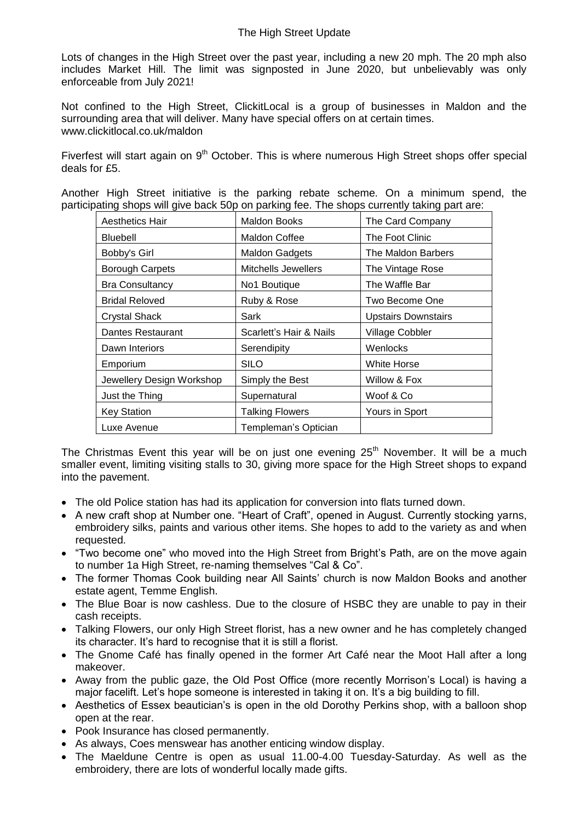Lots of changes in the High Street over the past year, including a new 20 mph. The 20 mph also includes Market Hill. The limit was signposted in June 2020, but unbelievably was only enforceable from July 2021!

Not confined to the High Street, ClickitLocal is a group of businesses in Maldon and the surrounding area that will deliver. Many have special offers on at certain times. [www.clickitlocal.co.uk/maldon](http://www.clickitlocal.co.uk/maldon)

Fiverfest will start again on 9<sup>th</sup> October. This is where numerous High Street shops offer special deals for £5.

Another High Street initiative is the parking rebate scheme. On a minimum spend, the participating shops will give back 50p on parking fee. The shops currently taking part are:

| <b>Aesthetics Hair</b>    | <b>Maldon Books</b>        | The Card Company           |
|---------------------------|----------------------------|----------------------------|
| <b>Bluebell</b>           | Maldon Coffee              | The Foot Clinic            |
| Bobby's Girl              | <b>Maldon Gadgets</b>      | The Maldon Barbers         |
| <b>Borough Carpets</b>    | <b>Mitchells Jewellers</b> | The Vintage Rose           |
| <b>Bra Consultancy</b>    | No1 Boutique               | The Waffle Bar             |
| <b>Bridal Reloved</b>     | Ruby & Rose                | Two Become One             |
| <b>Crystal Shack</b>      | Sark                       | <b>Upstairs Downstairs</b> |
| Dantes Restaurant         | Scarlett's Hair & Nails    | <b>Village Cobbler</b>     |
| Dawn Interiors            | Serendipity                | Wenlocks                   |
| Emporium                  | <b>SILO</b>                | <b>White Horse</b>         |
| Jewellery Design Workshop | Simply the Best            | Willow & Fox               |
| Just the Thing            | Supernatural               | Woof & Co                  |
| <b>Key Station</b>        | <b>Talking Flowers</b>     | Yours in Sport             |
| Luxe Avenue               | Templeman's Optician       |                            |

The Christmas Event this year will be on just one evening  $25<sup>th</sup>$  November. It will be a much smaller event, limiting visiting stalls to 30, giving more space for the High Street shops to expand into the pavement.

- The old Police station has had its application for conversion into flats turned down.
- A new craft shop at Number one. "Heart of Craft", opened in August. Currently stocking yarns, embroidery silks, paints and various other items. She hopes to add to the variety as and when requested.
- "Two become one" who moved into the High Street from Bright's Path, are on the move again to number 1a High Street, re-naming themselves "Cal & Co".
- The former Thomas Cook building near All Saints' church is now Maldon Books and another estate agent, Temme English.
- The Blue Boar is now cashless. Due to the closure of HSBC they are unable to pay in their cash receipts.
- Talking Flowers, our only High Street florist, has a new owner and he has completely changed its character. It's hard to recognise that it is still a florist.
- The Gnome Café has finally opened in the former Art Café near the Moot Hall after a long makeover.
- Away from the public gaze, the Old Post Office (more recently Morrison's Local) is having a major facelift. Let's hope someone is interested in taking it on. It's a big building to fill.
- Aesthetics of Essex beautician's is open in the old Dorothy Perkins shop, with a balloon shop open at the rear.
- Pook Insurance has closed permanently.
- As always, Coes menswear has another enticing window display.
- The Maeldune Centre is open as usual 11.00-4.00 Tuesday-Saturday. As well as the embroidery, there are lots of wonderful locally made gifts.